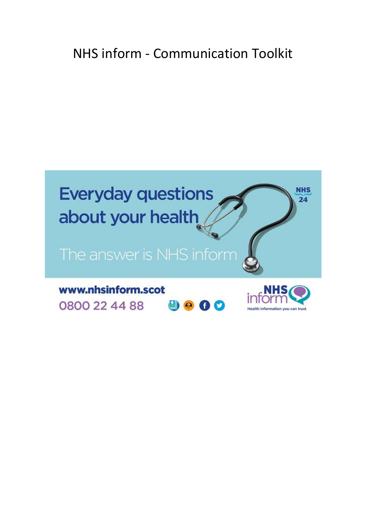# NHS inform - Communication Toolkit

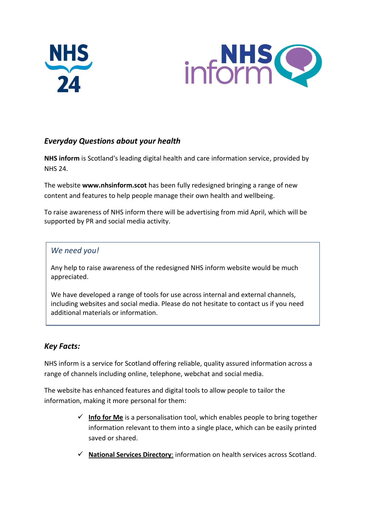



## *Everyday Questions about your health*

**NHS inform** is Scotland's leading digital health and care information service, provided by NHS 24.

The website **www.nhsinform.scot** has been fully redesigned bringing a range of new content and features to help people manage their own health and wellbeing.

To raise awareness of NHS inform there will be advertising from mid April, which will be supported by PR and social media activity.

## *We need you!*

Any help to raise awareness of the redesigned NHS inform website would be much appreciated.

We have developed a range of tools for use across internal and external channels, including websites and social media. Please do not hesitate to contact us if you need additional materials or information.

## *Key Facts:*

NHS inform is a service for Scotland offering reliable, quality assured information across a range of channels including online, telephone, webchat and social media.

The website has enhanced features and digital tools to allow people to tailor the information, making it more personal for them:

- $\checkmark$  Info for Me is a personalisation tool, which enables people to bring together information relevant to them into a single place, which can be easily printed saved or shared.
- **National Services Directory**: information on health services across Scotland.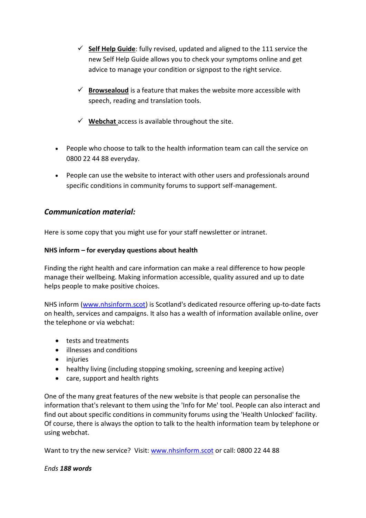- **Self Help Guide**: fully revised, updated and aligned to the 111 service the new Self Help Guide allows you to check your symptoms online and get advice to manage your condition or signpost to the right service.
- $\checkmark$  **Browsealoud** is a feature that makes the website more accessible with speech, reading and translation tools.
- **Webchat** access is available throughout the site.
- People who choose to talk to the health information team can call the service on 0800 22 44 88 everyday.
- People can use the website to interact with other users and professionals around specific conditions in community forums to support self-management.

## *Communication material:*

Here is some copy that you might use for your staff newsletter or intranet.

#### **NHS inform – for everyday questions about health**

Finding the right health and care information can make a real difference to how people manage their wellbeing. Making information accessible, quality assured and up to date helps people to make positive choices.

NHS inform [\(www.nhsinform.scot\)](http://www.nhsinform.scot/) is Scotland's dedicated resource offering up-to-date facts on health, services and campaigns. It also has a wealth of information available online, over the telephone or via webchat:

- **•** tests and treatments
- illnesses and conditions
- injuries
- healthy living (including stopping smoking, screening and keeping active)
- care, support and health rights

One of the many great features of the new website is that people can personalise the information that's relevant to them using the 'Info for Me' tool. People can also interact and find out about specific conditions in community forums using the 'Health Unlocked' facility. Of course, there is always the option to talk to the health information team by telephone or using webchat.

Want to try the new service? Visit: [www.nhsinform.scot](http://www.nhsinform.scot/) or call: 0800 22 44 88

#### *Ends 188 words*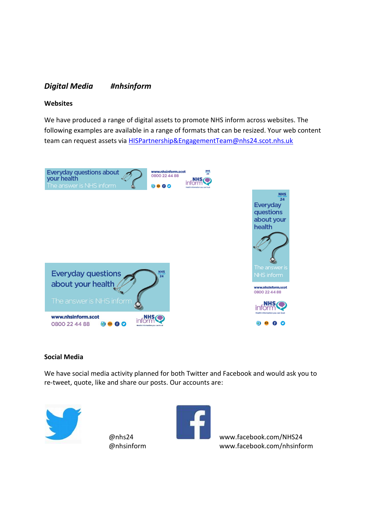## *Digital Media #nhsinform*

#### **Websites**

We have produced a range of digital assets to promote NHS inform across websites. The following examples are available in a range of formats that can be resized. Your web content team can request assets via HISPartnership&EngagementTeam@nhs24.scot.nhs.uk



#### **Social Media**

We have social media activity planned for both Twitter and Facebook and would ask you to re-tweet, quote, like and share our posts. Our accounts are:





@nhs24 [www.facebook.com/NHS24](http://www.facebook.com/NHS24) @nhsinform www.facebook.com/nhsinform